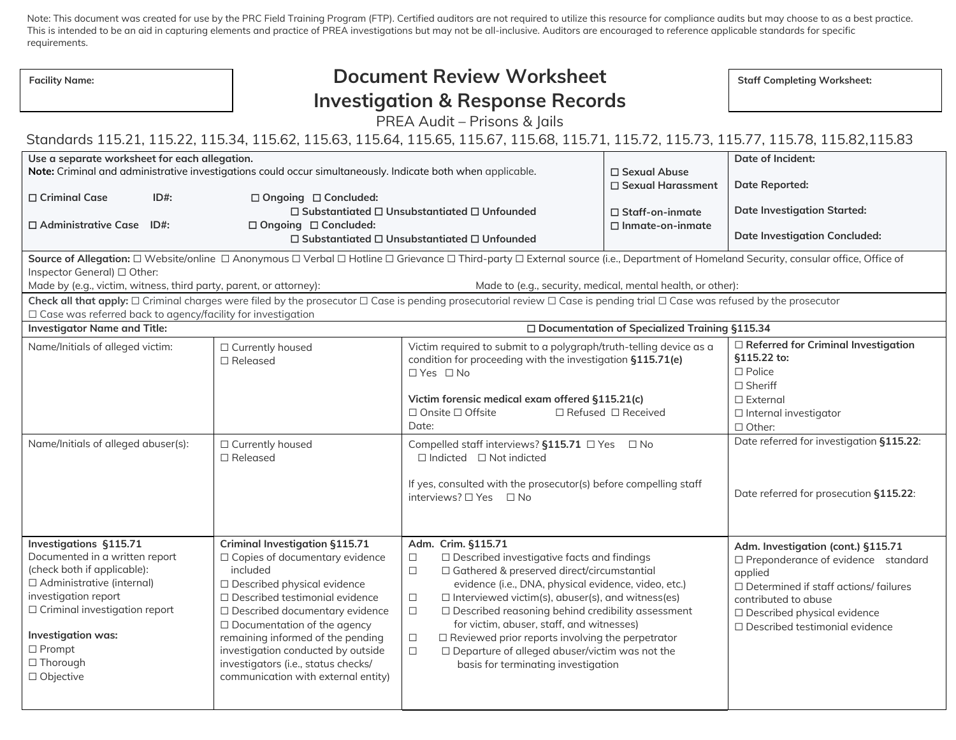Note: This document was created for use by the PRC Field Training Program (FTP). Certified auditors are not required to utilize this resource for compliance audits but may choose to as a best practice. This is intended to be an aid in capturing elements and practice of PREA investigations but may not be all-inclusive. Auditors are encouraged to reference applicable standards for specific requirements.

| <b>Facility Name:</b>                                                                                                                                                                                                                                                       | <b>Document Review Worksheet</b>                                                                                                                                                                                                                                                                                                                                                              |                                                                                                                                                                                                                                                                                                                                                                                                                                                                                                                                                                        |                                       | <b>Staff Completing Worksheet:</b>                                                                                                                                                                                                 |  |  |
|-----------------------------------------------------------------------------------------------------------------------------------------------------------------------------------------------------------------------------------------------------------------------------|-----------------------------------------------------------------------------------------------------------------------------------------------------------------------------------------------------------------------------------------------------------------------------------------------------------------------------------------------------------------------------------------------|------------------------------------------------------------------------------------------------------------------------------------------------------------------------------------------------------------------------------------------------------------------------------------------------------------------------------------------------------------------------------------------------------------------------------------------------------------------------------------------------------------------------------------------------------------------------|---------------------------------------|------------------------------------------------------------------------------------------------------------------------------------------------------------------------------------------------------------------------------------|--|--|
|                                                                                                                                                                                                                                                                             | <b>Investigation &amp; Response Records</b>                                                                                                                                                                                                                                                                                                                                                   |                                                                                                                                                                                                                                                                                                                                                                                                                                                                                                                                                                        |                                       |                                                                                                                                                                                                                                    |  |  |
|                                                                                                                                                                                                                                                                             |                                                                                                                                                                                                                                                                                                                                                                                               |                                                                                                                                                                                                                                                                                                                                                                                                                                                                                                                                                                        |                                       |                                                                                                                                                                                                                                    |  |  |
| PREA Audit - Prisons & Jails<br>Standards 115.21, 115.22, 115.34, 115.62, 115.63, 115.64, 115.65, 115.67, 115.68, 115.71, 115.72, 115.73, 115.77, 115.78, 115.82,115.83                                                                                                     |                                                                                                                                                                                                                                                                                                                                                                                               |                                                                                                                                                                                                                                                                                                                                                                                                                                                                                                                                                                        |                                       |                                                                                                                                                                                                                                    |  |  |
|                                                                                                                                                                                                                                                                             |                                                                                                                                                                                                                                                                                                                                                                                               |                                                                                                                                                                                                                                                                                                                                                                                                                                                                                                                                                                        |                                       |                                                                                                                                                                                                                                    |  |  |
| Use a separate worksheet for each allegation.                                                                                                                                                                                                                               | Note: Criminal and administrative investigations could occur simultaneously. Indicate both when applicable.                                                                                                                                                                                                                                                                                   |                                                                                                                                                                                                                                                                                                                                                                                                                                                                                                                                                                        | □ Sexual Abuse<br>□ Sexual Harassment | Date of Incident:<br><b>Date Reported:</b>                                                                                                                                                                                         |  |  |
| □ Criminal Case<br>$ID#$ :                                                                                                                                                                                                                                                  | □ Ongoing □ Concluded:<br>$\Box$ Substantiated $\Box$ Unsubstantiated $\Box$ Unfounded<br>□ Staff-on-inmate                                                                                                                                                                                                                                                                                   |                                                                                                                                                                                                                                                                                                                                                                                                                                                                                                                                                                        | <b>Date Investigation Started:</b>    |                                                                                                                                                                                                                                    |  |  |
| $\Box$ Administrative Case ID#:                                                                                                                                                                                                                                             | □ Ongoing □ Concluded:                                                                                                                                                                                                                                                                                                                                                                        | $\Box$ Inmate-on-inmate<br>$\Box$ Substantiated $\Box$ Unsubstantiated $\Box$ Unfounded                                                                                                                                                                                                                                                                                                                                                                                                                                                                                |                                       | <b>Date Investigation Concluded:</b>                                                                                                                                                                                               |  |  |
| Source of Allegation: □ Website/online □ Anonymous □ Verbal □ Hotline □ Grievance □ Third-party □ External source (i.e., Department of Homeland Security, consular office, Office of<br>Inspector General) □ Other:                                                         |                                                                                                                                                                                                                                                                                                                                                                                               |                                                                                                                                                                                                                                                                                                                                                                                                                                                                                                                                                                        |                                       |                                                                                                                                                                                                                                    |  |  |
| Made by (e.g., victim, witness, third party, parent, or attorney):<br>Made to (e.g., security, medical, mental health, or other):                                                                                                                                           |                                                                                                                                                                                                                                                                                                                                                                                               |                                                                                                                                                                                                                                                                                                                                                                                                                                                                                                                                                                        |                                       |                                                                                                                                                                                                                                    |  |  |
| Check all that apply: □ Criminal charges were filed by the prosecutor □ Case is pending prosecutorial review □ Case is pending trial □ Case was refused by the prosecutor<br>$\Box$ Case was referred back to agency/facility for investigation                             |                                                                                                                                                                                                                                                                                                                                                                                               |                                                                                                                                                                                                                                                                                                                                                                                                                                                                                                                                                                        |                                       |                                                                                                                                                                                                                                    |  |  |
| <b>Investigator Name and Title:</b><br>□ Documentation of Specialized Training §115.34                                                                                                                                                                                      |                                                                                                                                                                                                                                                                                                                                                                                               |                                                                                                                                                                                                                                                                                                                                                                                                                                                                                                                                                                        |                                       |                                                                                                                                                                                                                                    |  |  |
| Name/Initials of alleged victim:                                                                                                                                                                                                                                            | □ Currently housed<br>$\Box$ Released                                                                                                                                                                                                                                                                                                                                                         | Victim required to submit to a polygraph/truth-telling device as a<br>condition for proceeding with the investigation §115.71(e)<br>□ Yes □ No<br>Victim forensic medical exam offered §115.21(c)<br>$\Box$ Onsite $\Box$ Offsite<br>Date:                                                                                                                                                                                                                                                                                                                             | $\Box$ Refused $\Box$ Received        | $\Box$ Referred for Criminal Investigation<br>§115.22 to:<br>$\square$ Police<br>$\square$ Sheriff<br>$\Box$ External<br>□ Internal investigator<br>$\Box$ Other:                                                                  |  |  |
| Name/Initials of alleged abuser(s):                                                                                                                                                                                                                                         | □ Currently housed<br>$\Box$ Released                                                                                                                                                                                                                                                                                                                                                         | Compelled staff interviews? §115.71 □ Yes □ No<br>$\Box$ Indicted $\Box$ Not indicted<br>If yes, consulted with the prosecutor(s) before compelling staff<br>interviews? $\Box$ Yes $\Box$ No                                                                                                                                                                                                                                                                                                                                                                          |                                       | Date referred for investigation §115.22:<br>Date referred for prosecution §115.22:                                                                                                                                                 |  |  |
| <b>Investigations §115.71</b><br>Documented in a written report<br>(check both if applicable):<br>$\Box$ Administrative (internal)<br>investigation report<br>$\Box$ Criminal investigation report<br>Investigation was:<br>$\Box$ Prompt<br>$\Box$ Thorough<br>□ Objective | <b>Criminal Investigation §115.71</b><br>□ Copies of documentary evidence<br>included<br>□ Described physical evidence<br>□ Described testimonial evidence<br>□ Described documentary evidence<br>$\Box$ Documentation of the agency<br>remaining informed of the pending<br>investigation conducted by outside<br>investigators (i.e., status checks/<br>communication with external entity) | Adm. Crim. §115.71<br>$\Box$ Described investigative facts and findings<br>$\Box$<br>□ Gathered & preserved direct/circumstantial<br>$\Box$<br>evidence (i.e., DNA, physical evidence, video, etc.)<br>$\Box$<br>$\Box$ Interviewed victim(s), abuser(s), and witness(es)<br>$\Box$ Described reasoning behind credibility assessment<br>$\Box$<br>for victim, abuser, staff, and witnesses)<br>$\Box$ Reviewed prior reports involving the perpetrator<br>□<br>$\Box$ Departure of alleged abuser/victim was not the<br>$\Box$<br>basis for terminating investigation |                                       | Adm. Investigation (cont.) §115.71<br>□ Preponderance of evidence standard<br>applied<br>$\Box$ Determined if staff actions/ failures<br>contributed to abuse<br>□ Described physical evidence<br>□ Described testimonial evidence |  |  |